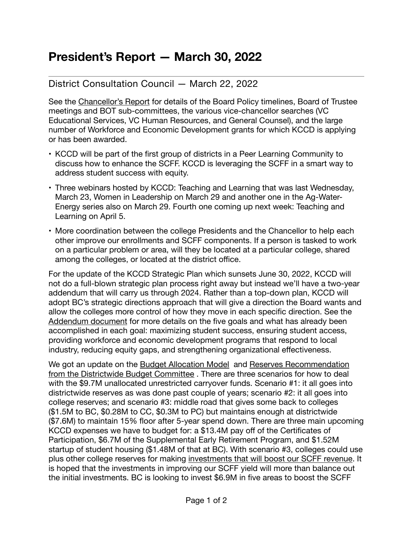## **President's Report — March 30, 2022**

## District Consultation Council — March 22, 2022

See the [Chancellor's Report](https://committees.kccd.edu/sites/committees.kccd.edu/files/Sonya) for details of the Board Policy timelines, Board of Trustee meetings and BOT sub-committees, the various vice-chancellor searches (VC Educational Services, VC Human Resources, and General Counsel), and the large number of Workforce and Economic Development grants for which KCCD is applying or has been awarded.

- KCCD will be part of the first group of districts in a Peer Learning Community to discuss how to enhance the SCFF. KCCD is leveraging the SCFF in a smart way to address student success with equity.
- Three webinars hosted by KCCD: Teaching and Learning that was last Wednesday, March 23, Women in Leadership on March 29 and another one in the Ag-Water-Energy series also on March 29. Fourth one coming up next week: Teaching and Learning on April 5.
- More coordination between the college Presidents and the Chancellor to help each other improve our enrollments and SCFF components. If a person is tasked to work on a particular problem or area, will they be located at a particular college, shared among the colleges, or located at the district office.

For the update of the KCCD Strategic Plan which sunsets June 30, 2022, KCCD will not do a full-blown strategic plan process right away but instead we'll have a two-year addendum that will carry us through 2024. Rather than a top-down plan, KCCD will adopt BC's strategic directions approach that will give a direction the Board wants and allow the colleges more control of how they move in each specific direction. See the [Addendum document](https://committees.kccd.edu/sites/committees.kccd.edu/files/2022-2024%20KCCD%20Strategic%20Plan%20Addendum.pdf) for more details on the five goals and what has already been accomplished in each goal: maximizing student success, ensuring student access, providing workforce and economic development programs that respond to local industry, reducing equity gaps, and strengthening organizational effectiveness.

We got an update on the [Budget Allocation Model](https://committees.kccd.edu/sites/committees.kccd.edu/files/Board%20Finance%20%20Audit%20Sub-Committee_2-23-22.pdf) and [Reserves Recommendation](https://committees.kccd.edu/sites/committees.kccd.edu/files/District-wide%20Budget%20Committee%20Reserves_2_23_22.pdf)  [from the Districtwide Budget Committee](https://committees.kccd.edu/sites/committees.kccd.edu/files/District-wide%20Budget%20Committee%20Reserves_2_23_22.pdf) . There are three scenarios for how to deal with the \$9.7M unallocated unrestricted carryover funds. Scenario #1: it all goes into districtwide reserves as was done past couple of years; scenario #2: it all goes into college reserves; and scenario #3: middle road that gives some back to colleges (\$1.5M to BC, \$0.28M to CC, \$0.3M to PC) but maintains enough at districtwide (\$7.6M) to maintain 15% floor after 5-year spend down. There are three main upcoming KCCD expenses we have to budget for: a \$13.4M pay off of the Certificates of Participation, \$6.7M of the Supplemental Early Retirement Program, and \$1.52M startup of student housing (\$1.48M of that at BC). With scenario #3, colleges could use plus other college reserves for making [investments that will boost our SCFF revenue.](https://committees.kccd.edu/sites/committees.kccd.edu/files/cc.d.i._scff_budget_proposal_20220325.pdf) It is hoped that the investments in improving our SCFF yield will more than balance out the initial investments. BC is looking to invest \$6.9M in five areas to boost the SCFF